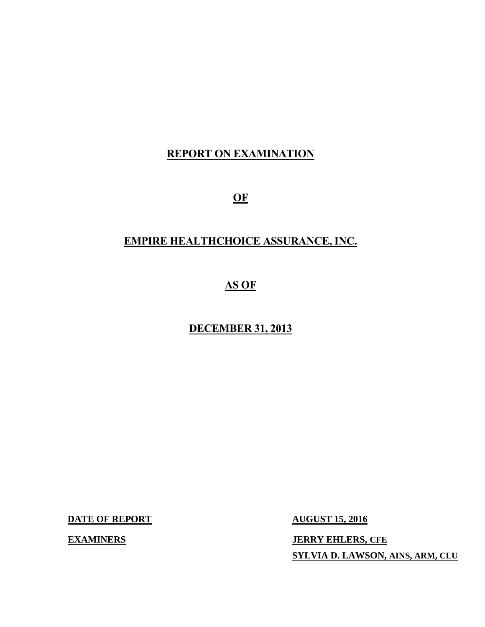## **REPORT ON EXAMINATION**

 $\Omega$ <sub>E</sub>

# **OF EMPIRE HEALTHCHOICE ASSURANCE, INC.**

## **AS OF**

#### **DECEMBER 31, 2013**

**DATE OF REPORT AUGUST 15, 2016** 

**EXAMINERS** 

**JERRY EHLERS, CFE SYLVIA D. LAWSON, AINS, ARM, CLU**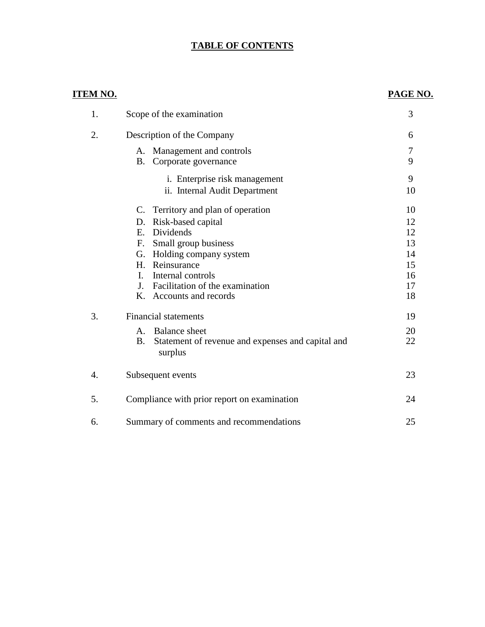#### **TABLE OF CONTENTS**

#### **ITEM NO. PAGE NO.**

| 1. | Scope of the examination                                                  | 3  |  |
|----|---------------------------------------------------------------------------|----|--|
| 2. | Description of the Company                                                |    |  |
|    | A. Management and controls                                                | 7  |  |
|    | Corporate governance<br>B.                                                | 9  |  |
|    | i. Enterprise risk management                                             | 9  |  |
|    | ii. Internal Audit Department                                             | 10 |  |
|    | C. Territory and plan of operation                                        | 10 |  |
|    | Risk-based capital<br>D.                                                  | 12 |  |
|    | Dividends<br>E.                                                           | 12 |  |
|    | Small group business<br>F.                                                | 13 |  |
|    | Holding company system<br>G.                                              | 14 |  |
|    | Reinsurance<br>$H_{\cdot}$                                                | 15 |  |
|    | Internal controls<br>$\mathbf{I}$ .                                       | 16 |  |
|    | J <sub>1</sub><br>Facilitation of the examination                         | 17 |  |
|    | K. Accounts and records                                                   | 18 |  |
| 3. | <b>Financial statements</b>                                               | 19 |  |
|    | A. Balance sheet                                                          | 20 |  |
|    | <b>B.</b><br>Statement of revenue and expenses and capital and<br>surplus | 22 |  |
| 4. | Subsequent events                                                         | 23 |  |
| 5. | Compliance with prior report on examination                               | 24 |  |
| 6. | Summary of comments and recommendations                                   | 25 |  |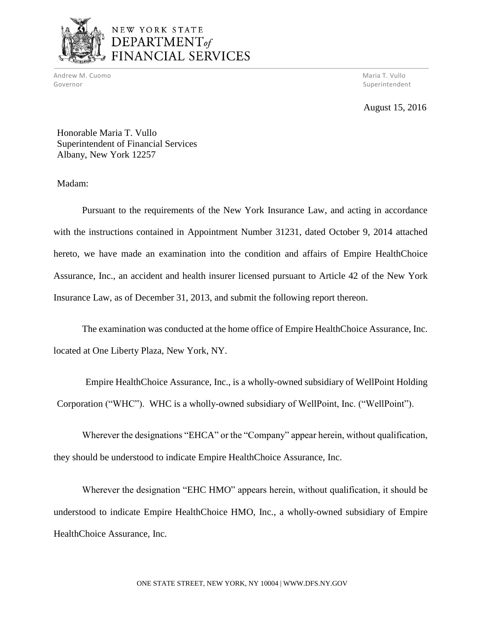

## NEW YORK STATE DEPARTMENT<sub>of</sub> FINANCIAL SERVICES

Andrew M. Cuomo National Andrew Maria T. Vullo National Andrew Maria T. Vullo National Andrew Maria T. Vullo Governor

Superintendent

August 15, 2016

Honorable Maria T. Vullo Superintendent of Financial Services Albany, New York 12257

Madam:

 Pursuant to the requirements of the New York Insurance Law, and acting in accordance with the instructions contained in Appointment Number 31231, dated October 9, 2014 attached hereto, we have made an examination into the condition and affairs of Empire HealthChoice Assurance, Inc., an accident and health insurer licensed pursuant to Article 42 of the New York Insurance Law, as of December 31, 2013, and submit the following report thereon.

 The examination was conducted at the home office of Empire HealthChoice Assurance, Inc. located at One Liberty Plaza, New York, NY.

Empire HealthChoice Assurance, Inc., is a wholly-owned subsidiary of WellPoint Holding Corporation ("WHC"). WHC is a wholly-owned subsidiary of WellPoint, Inc. ("WellPoint").

Wherever the designations "EHCA" or the "Company" appear herein, without qualification, they should be understood to indicate Empire HealthChoice Assurance, Inc.

 Wherever the designation "EHC HMO" appears herein, without qualification, it should be understood to indicate Empire HealthChoice HMO, Inc., a wholly-owned subsidiary of Empire HealthChoice Assurance, Inc.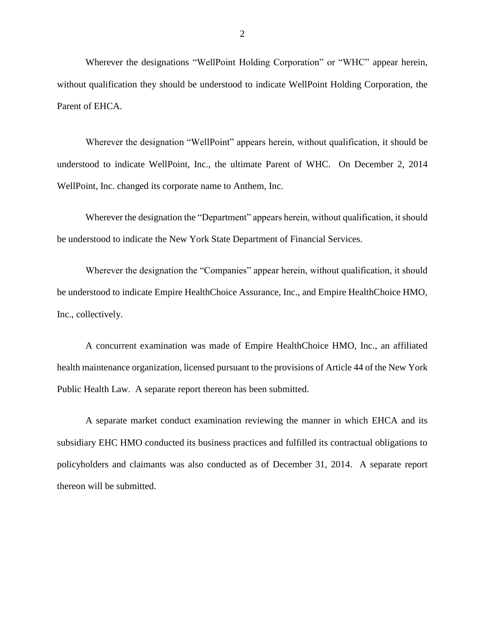Wherever the designations "WellPoint Holding Corporation" or "WHC" appear herein, without qualification they should be understood to indicate WellPoint Holding Corporation, the Parent of EHCA.

 Wherever the designation "WellPoint" appears herein, without qualification, it should be understood to indicate WellPoint, Inc., the ultimate Parent of WHC. On December 2, 2014 WellPoint, Inc. changed its corporate name to Anthem, Inc.

 Wherever the designation the "Department" appears herein, without qualification, it should be understood to indicate the New York State Department of Financial Services.

 Wherever the designation the "Companies" appear herein, without qualification, it should be understood to indicate Empire HealthChoice Assurance, Inc., and Empire HealthChoice HMO, Inc., collectively.

 A concurrent examination was made of Empire HealthChoice HMO, Inc., an affiliated health maintenance organization, licensed pursuant to the provisions of Article 44 of the New York Public Health Law. A separate report thereon has been submitted.

 A separate market conduct examination reviewing the manner in which EHCA and its subsidiary EHC HMO conducted its business practices and fulfilled its contractual obligations to policyholders and claimants was also conducted as of December 31, 2014. A separate report thereon will be submitted.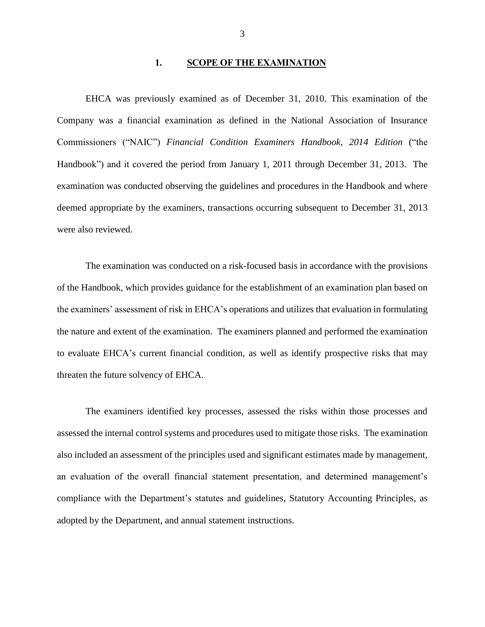#### 1. SCOPE OF THE EXAMINATION

 EHCA was previously examined as of December 31, 2010. This examination of the Company was a financial examination as defined in the National Association of Insurance  Commissioners ("NAIC") *Financial Condition Examiners Handbook, 2014 Edition* ("the Handbook") and it covered the period from January 1, 2011 through December 31, 2013. The examination was conducted observing the guidelines and procedures in the Handbook and where deemed appropriate by the examiners, transactions occurring subsequent to December 31, 2013 were also reviewed.

 of the Handbook, which provides guidance for the establishment of an examination plan based on to evaluate EHCA's current financial condition, as well as identify prospective risks that may threaten the future solvency of EHCA. The examination was conducted on a risk-focused basis in accordance with the provisions the examiners' assessment of risk in EHCA's operations and utilizes that evaluation in formulating the nature and extent of the examination. The examiners planned and performed the examination

 assessed the internal control systems and procedures used to mitigate those risks. The examination also included an assessment of the principles used and significant estimates made by management, compliance with the Department's statutes and guidelines, Statutory Accounting Principles, as The examiners identified key processes, assessed the risks within those processes and an evaluation of the overall financial statement presentation, and determined management's adopted by the Department, and annual statement instructions.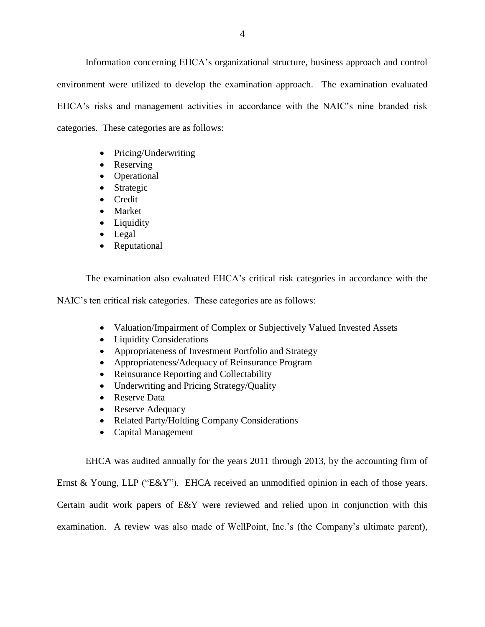Information concerning EHCA's organizational structure, business approach and control environment were utilized to develop the examination approach. The examination evaluated categories. These categories are as follows: EHCA's risks and management activities in accordance with the NAIC's nine branded risk

- Pricing/Underwriting
- Reserving
- Operational
- Strategic
- Credit
- Market
- Liquidity
- Legal
- Reputational

The examination also evaluated EHCA's critical risk categories in accordance with the

NAIC's ten critical risk categories. These categories are as follows:

- Valuation/Impairment of Complex or Subjectively Valued Invested Assets
- Liquidity Considerations
- Appropriateness of Investment Portfolio and Strategy
- Appropriateness/Adequacy of Reinsurance Program
- Reinsurance Reporting and Collectability
- Underwriting and Pricing Strategy/Quality
- Reserve Data
- Reserve Adequacy
- Related Party/Holding Company Considerations
- Capital Management

EHCA was audited annually for the years 2011 through 2013, by the accounting firm of

Ernst & Young, LLP ("E&Y"). EHCA received an unmodified opinion in each of those years.

Certain audit work papers of E&Y were reviewed and relied upon in conjunction with this

examination. A review was also made of WellPoint, Inc.'s (the Company's ultimate parent),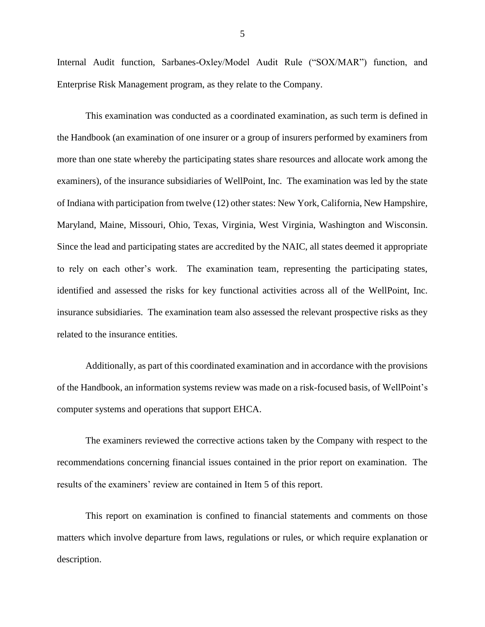Enterprise Risk Management program, as they relate to the Company. Enterprise Risk Management program, as they relate to the Company. This examination was conducted as a coordinated examination, as such term is defined in Internal Audit function, Sarbanes-Oxley/Model Audit Rule ("SOX/MAR") function, and

 the Handbook (an examination of one insurer or a group of insurers performed by examiners from more than one state whereby the participating states share resources and allocate work among the examiners), of the insurance subsidiaries of WellPoint, Inc. The examination was led by the state of Indiana with participation from twelve (12) other states: New York, California, New Hampshire, Maryland, Maine, Missouri, Ohio, Texas, Virginia, West Virginia, Washington and Wisconsin. Since the lead and participating states are accredited by the NAIC, all states deemed it appropriate Since the lead and participating states are accredited by the NAIC, all states deemed it appropriate to rely on each other's work. The examination team, representing the participating states, identified and assessed the risks for key functional activities across all of the WellPoint, Inc. related to the insurance entities. insurance subsidiaries. The examination team also assessed the relevant prospective risks as they

 Additionally, as part of this coordinated examination and in accordance with the provisions of the Handbook, an information systems review was made on a risk-focused basis, of WellPoint's computer systems and operations that support EHCA.

 recommendations concerning financial issues contained in the prior report on examination. The results of the examiners' review are contained in Item 5 of this report. The examiners reviewed the corrective actions taken by the Company with respect to the

 matters which involve departure from laws, regulations or rules, or which require explanation or This report on examination is confined to financial statements and comments on those description.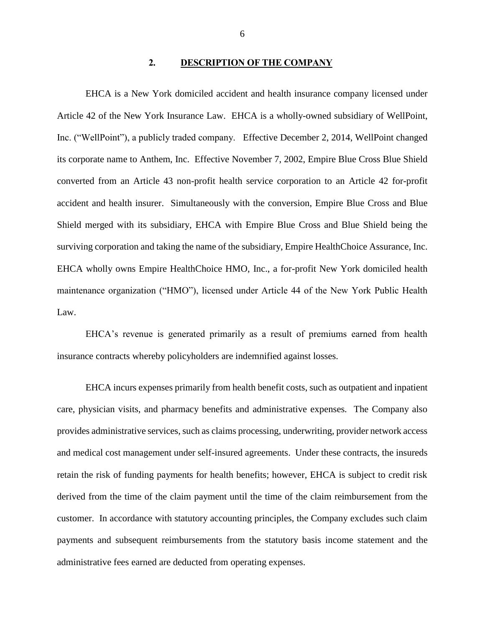#### **2. DESCRIPTION OF THE COMPANY**

 EHCA is a New York domiciled accident and health insurance company licensed under Article 42 of the New York Insurance Law. EHCA is a wholly-owned subsidiary of WellPoint, Inc. ("WellPoint"), a publicly traded company. Effective December 2, 2014, WellPoint changed its corporate name to Anthem, Inc. Effective November 7, 2002, Empire Blue Cross Blue Shield converted from an Article 43 non-profit health service corporation to an Article 42 for-profit accident and health insurer. Simultaneously with the conversion, Empire Blue Cross and Blue Shield merged with its subsidiary, EHCA with Empire Blue Cross and Blue Shield being the surviving corporation and taking the name of the subsidiary, Empire HealthChoice Assurance, Inc. EHCA wholly owns Empire HealthChoice HMO, Inc., a for-profit New York domiciled health maintenance organization ("HMO"), licensed under Article 44 of the New York Public Health Law.

 EHCA's revenue is generated primarily as a result of premiums earned from health insurance contracts whereby policyholders are indemnified against losses.

 care, physician visits, and pharmacy benefits and administrative expenses. The Company also retain the risk of funding payments for health benefits; however, EHCA is subject to credit risk customer. In accordance with statutory accounting principles, the Company excludes such claim payments and subsequent reimbursements from the statutory basis income statement and the EHCA incurs expenses primarily from health benefit costs, such as outpatient and inpatient provides administrative services, such as claims processing, underwriting, provider network access and medical cost management under self-insured agreements. Under these contracts, the insureds derived from the time of the claim payment until the time of the claim reimbursement from the administrative fees earned are deducted from operating expenses.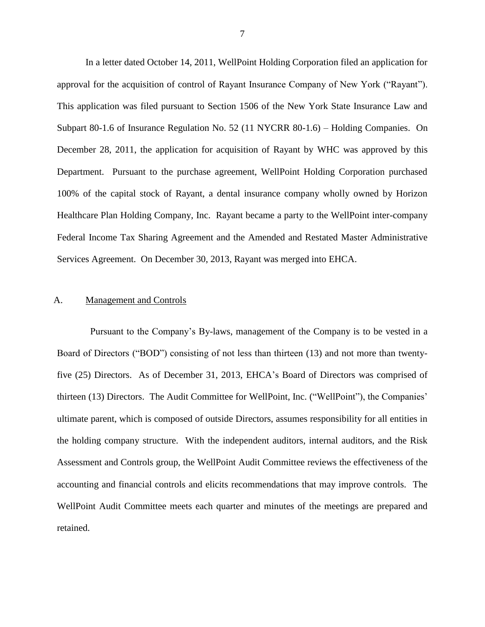approval for the acquisition of control of Rayant Insurance Company of New York ("Rayant"). This application was filed pursuant to Section 1506 of the New York State Insurance Law and Subpart 80-1.6 of Insurance Regulation No. 52 (11 NYCRR 80-1.6) – Holding Companies. On December 28, 2011, the application for acquisition of Rayant by WHC was approved by this Department. Pursuant to the purchase agreement, WellPoint Holding Corporation purchased 100% of the capital stock of Rayant, a dental insurance company wholly owned by Horizon Healthcare Plan Holding Company, Inc. Rayant became a party to the WellPoint inter-company Federal Income Tax Sharing Agreement and the Amended and Restated Master Administrative Services Agreement. On December 30, 2013, Rayant was merged into EHCA. In a letter dated October 14, 2011, WellPoint Holding Corporation filed an application for

#### A. Management and Controls

 five (25) Directors. As of December 31, 2013, EHCA's Board of Directors was comprised of thirteen (13) Directors. The Audit Committee for WellPoint, Inc. ("WellPoint"), the Companies' ultimate parent, which is composed of outside Directors, assumes responsibility for all entities in the holding company structure. With the independent auditors, internal auditors, and the Risk Assessment and Controls group, the WellPoint Audit Committee reviews the effectiveness of the accounting and financial controls and elicits recommendations that may improve controls. The Pursuant to the Company's By-laws, management of the Company is to be vested in a Board of Directors ("BOD") consisting of not less than thirteen (13) and not more than twenty-WellPoint Audit Committee meets each quarter and minutes of the meetings are prepared and retained.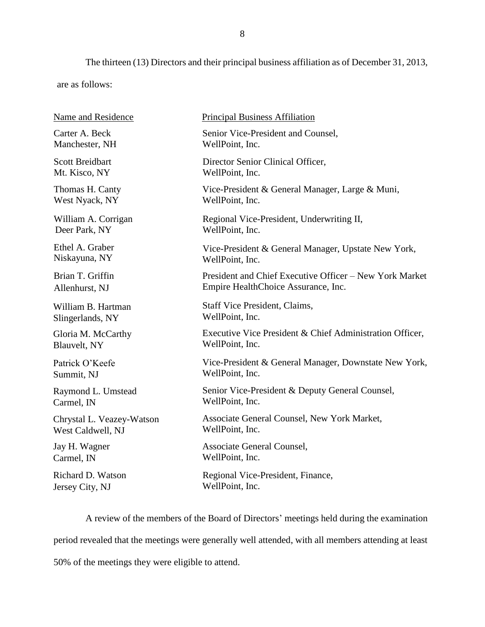The thirteen (13) Directors and their principal business affiliation as of December 31, 2013,

are as follows:

| Name and Residence        | <b>Principal Business Affiliation</b>                    |
|---------------------------|----------------------------------------------------------|
| Carter A. Beck            | Senior Vice-President and Counsel,                       |
| Manchester, NH            | WellPoint, Inc.                                          |
| <b>Scott Breidbart</b>    | Director Senior Clinical Officer,                        |
| Mt. Kisco, NY             | WellPoint, Inc.                                          |
| Thomas H. Canty           | Vice-President & General Manager, Large & Muni,          |
| West Nyack, NY            | WellPoint, Inc.                                          |
| William A. Corrigan       | Regional Vice-President, Underwriting II,                |
| Deer Park, NY             | WellPoint, Inc.                                          |
| Ethel A. Graber           | Vice-President & General Manager, Upstate New York,      |
| Niskayuna, NY             | WellPoint, Inc.                                          |
| Brian T. Griffin          | President and Chief Executive Officer – New York Market  |
| Allenhurst, NJ            | Empire HealthChoice Assurance, Inc.                      |
| William B. Hartman        | Staff Vice President, Claims,                            |
| Slingerlands, NY          | WellPoint, Inc.                                          |
| Gloria M. McCarthy        | Executive Vice President & Chief Administration Officer, |
| Blauvelt, NY              | WellPoint, Inc.                                          |
| Patrick O'Keefe           | Vice-President & General Manager, Downstate New York,    |
| Summit, NJ                | WellPoint, Inc.                                          |
| Raymond L. Umstead        | Senior Vice-President & Deputy General Counsel,          |
| Carmel, IN                | WellPoint, Inc.                                          |
| Chrystal L. Veazey-Watson | Associate General Counsel, New York Market,              |
| West Caldwell, NJ         | WellPoint, Inc.                                          |
| Jay H. Wagner             | Associate General Counsel,                               |
| Carmel, IN                | WellPoint, Inc.                                          |
| Richard D. Watson         | Regional Vice-President, Finance,                        |
| Jersey City, NJ           | WellPoint, Inc.                                          |

 A review of the members of the Board of Directors' meetings held during the examination period revealed that the meetings were generally well attended, with all members attending at least 50% of the meetings they were eligible to attend.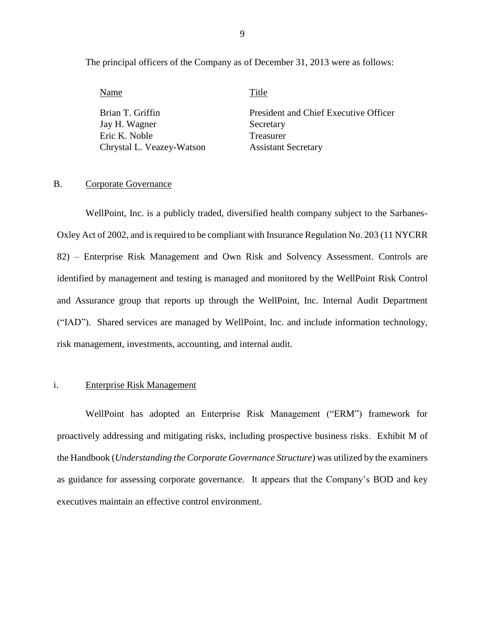The principal officers of the Company as of December 31, 2013 were as follows:

Name Title

Brian T. Griffin

Jay H. Wagner Secretary President and Chief Executive Officer Eric K. Noble Treasurer Chrystal L. Veazey-Watson Assistant Secretary

#### B. Corporate Governance

 WellPoint, Inc. is a publicly traded, diversified health company subject to the Sarbanes- Oxley Act of 2002, and is required to be compliant with Insurance Regulation No. 203 (11 NYCRR identified by management and testing is managed and monitored by the WellPoint Risk Control and Assurance group that reports up through the WellPoint, Inc. Internal Audit Department ("IAD"). Shared services are managed by WellPoint, Inc. and include information technology, 82) – Enterprise Risk Management and Own Risk and Solvency Assessment. Controls are risk management, investments, accounting, and internal audit.

#### i. Enterprise Risk Management

 WellPoint has adopted an Enterprise Risk Management ("ERM") framework for proactively addressing and mitigating risks, including prospective business risks. Exhibit M of  the Handbook (*Understanding the Corporate Governance Structure*) was utilized by the examiners as guidance for assessing corporate governance. It appears that the Company's BOD and key executives maintain an effective control environment.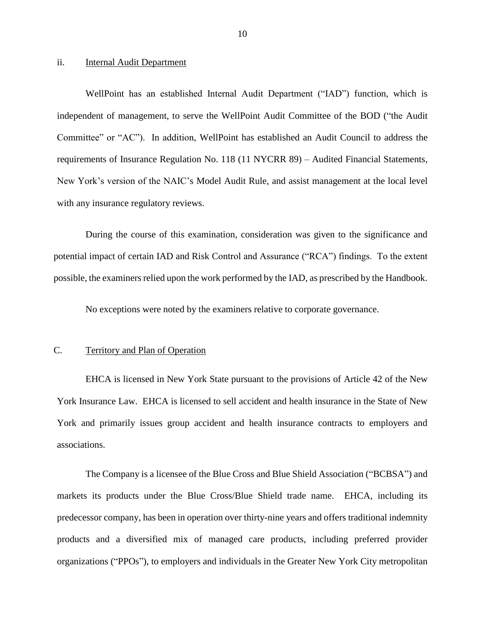#### <span id="page-11-0"></span>ii. **Internal Audit Department**

 independent of management, to serve the WellPoint Audit Committee of the BOD ("the Audit Committee" or "AC"). In addition, WellPoint has established an Audit Council to address the requirements of Insurance Regulation No. 118 (11 NYCRR 89) – Audited Financial Statements, with any insurance regulatory reviews. WellPoint has an established Internal Audit Department ("IAD") function, which is New York's version of the NAIC's Model Audit Rule, and assist management at the local level

 During the course of this examination, consideration was given to the significance and potential impact of certain IAD and Risk Control and Assurance ("RCA") findings. To the extent possible, the examiners relied upon the work performed by the IAD, as prescribed by the Handbook.

No exceptions were noted by the examiners relative to corporate governance.

#### C. Territory and Plan of Operation

 York Insurance Law. EHCA is licensed to sell accident and health insurance in the State of New EHCA is licensed in New York State pursuant to the provisions of Article 42 of the New York and primarily issues group accident and health insurance contracts to employers and associations.

 The Company is a licensee of the Blue Cross and Blue Shield Association ("BCBSA") and markets its products under the Blue Cross/Blue Shield trade name. EHCA, including its predecessor company, has been in operation over thirty-nine years and offers traditional indemnity products and a diversified mix of managed care products, including preferred provider organizations ("PPOs"), to employers and individuals in the Greater New York City metropolitan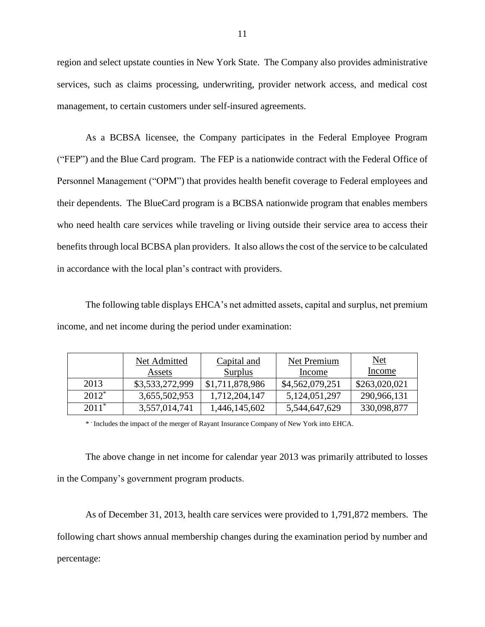region and select upstate counties in New York State. The Company also provides administrative management, to certain customers under self-insured agreements. management, to certain customers under self-insured agreements.<br>As a BCBSA licensee, the Company participates in the Federal Employee Program services, such as claims processing, underwriting, provider network access, and medical cost

 ("FEP") and the Blue Card program. The FEP is a nationwide contract with the Federal Office of Personnel Management ("OPM") that provides health benefit coverage to Federal employees and who need health care services while traveling or living outside their service area to access their benefits through local BCBSA plan providers. It also allows the cost of the service to be calculated their dependents. The BlueCard program is a BCBSA nationwide program that enables members in accordance with the local plan's contract with providers.

 The following table displays EHCA's net admitted assets, capital and surplus, net premium income, and net income during the period under examination:

|          | Net Admitted    | Capital and     | Net Premium      | Net           |
|----------|-----------------|-----------------|------------------|---------------|
|          | <b>Assets</b>   | Surplus         | Income           | Income        |
| 2013     | \$3,533,272,999 | \$1,711,878,986 | \$4,562,079,251  | \$263,020,021 |
| $2012^*$ | 3,655,502,953   | 1,712,204,147   | 5, 124, 051, 297 | 290,966,131   |
| $2011*$  | 3,557,014,741   | 1,446,145,602   | 5,544,647,629    | 330,098,877   |

\* - Includes the impact of the merger of Rayant Insurance Company of New York into EHCA.

 The above change in net income for calendar year 2013 was primarily attributed to losses in the Company's government program products.

 As of December 31, 2013, health care services were provided to 1,791,872 members. The following chart shows annual membership changes during the examination period by number and percentage: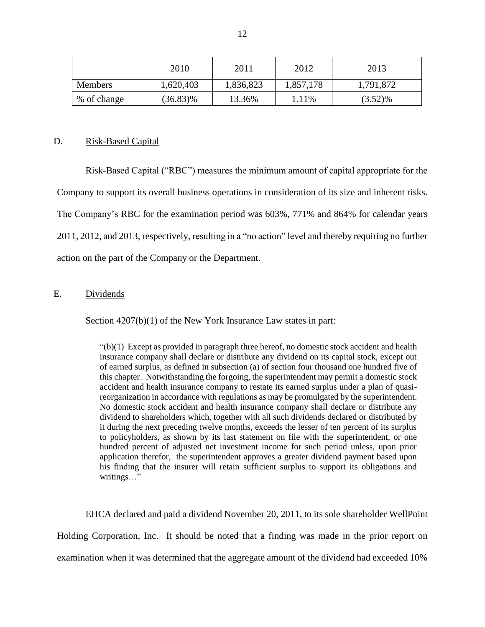|                | <u>2010</u> | <u> 2011</u> | <u> 2012 </u> | <u>2013</u> |
|----------------|-------------|--------------|---------------|-------------|
| <b>Members</b> | 1,620,403   | 1,836,823    | 1,857,178     | 1,791,872   |
| % of change    | $(36.83)\%$ | 13.36%       | 1.11%         | $(3.52)\%$  |

#### D. Risk-Based Capital

 Company to support its overall business operations in consideration of its size and inherent risks. The Company's RBC for the examination period was 603%, 771% and 864% for calendar years 2011, 2012, and 2013, respectively, resulting in a "no action" level and thereby requiring no further action on the part of the Company or the Department. Risk-Based Capital ("RBC") measures the minimum amount of capital appropriate for the

#### E. Dividends

Section  $4207(b)(1)$  of the New York Insurance Law states in part:

 $"(b)(1)$  Except as provided in paragraph three hereof, no domestic stock accident and health insurance company shall declare or distribute any dividend on its capital stock, except out of earned surplus, as defined in subsection (a) of section four thousand one hundred five of this chapter. Notwithstanding the forgoing, the superintendent may permit a domestic stock accident and health insurance company to restate its earned surplus under a plan of quasi- reorganization in accordance with regulations as may be promulgated by the superintendent. No domestic stock accident and health insurance company shall declare or distribute any dividend to shareholders which, together with all such dividends declared or distributed by it during the next preceding twelve months, exceeds the lesser of ten percent of its surplus to policyholders, as shown by its last statement on file with the superintendent, or one hundred percent of adjusted net investment income for such period unless, upon prior application therefor, the superintendent approves a greater dividend payment based upon his finding that the insurer will retain sufficient surplus to support its obligations and writings…"

 Holding Corporation, Inc. It should be noted that a finding was made in the prior report on examination when it was determined that the aggregate amount of the dividend had exceeded 10% EHCA declared and paid a dividend November 20, 2011, to its sole shareholder WellPoint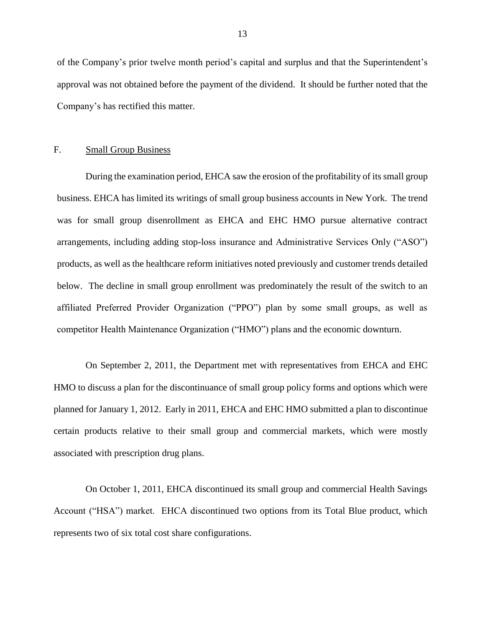<span id="page-14-0"></span>of the Company's prior twelve month period's capital and surplus and that the Superintendent's approval was not obtained before the payment of the dividend. It should be further noted that the Company's has rectified this matter.

#### F. Small Group Business

 business. EHCA has limited its writings of small group business accounts in New York. The trend was for small group disenrollment as EHCA and EHC HMO pursue alternative contract arrangements, including adding stop-loss insurance and Administrative Services Only ("ASO") products, as well as the healthcare reform initiatives noted previously and customer trends detailed below. The decline in small group enrollment was predominately the result of the switch to an affiliated Preferred Provider Organization ("PPO") plan by some small groups, as well as During the examination period, EHCA saw the erosion of the profitability of its small group competitor Health Maintenance Organization ("HMO") plans and the economic downturn.

 HMO to discuss a plan for the discontinuance of small group policy forms and options which were planned for January 1, 2012. Early in 2011, EHCA and EHC HMO submitted a plan to discontinue certain products relative to their small group and commercial markets, which were mostly associated with prescription drug plans. associated with prescription drug plans. On October 1, 2011, EHCA discontinued its small group and commercial Health Savings On September 2, 2011, the Department met with representatives from EHCA and EHC

Account ("HSA") market. EHCA discontinued two options from its Total Blue product, which represents two of six total cost share configurations.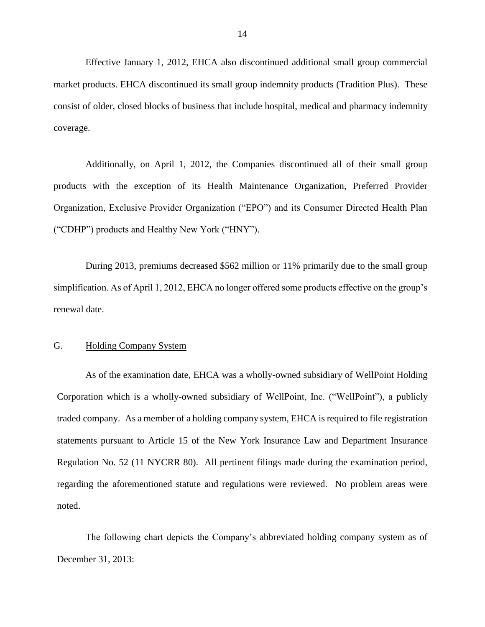<span id="page-15-0"></span> Effective January 1, 2012, EHCA also discontinued additional small group commercial market products. EHCA discontinued its small group indemnity products (Tradition Plus). These consist of older, closed blocks of business that include hospital, medical and pharmacy indemnity coverage. coverage. Additionally, on April 1, 2012, the Companies discontinued all of their small group

products with the exception of its Health Maintenance Organization, Preferred Provider Organization, Exclusive Provider Organization ("EPO") and its Consumer Directed Health Plan ("CDHP") products and Healthy New York ("HNY").

 During 2013, premiums decreased \$562 million or 11% primarily due to the small group simplification. As of April 1, 2012, EHCA no longer offered some products effective on the group's renewal date.

#### G. Holding Company System

 As of the examination date, EHCA was a wholly-owned subsidiary of WellPoint Holding Corporation which is a wholly-owned subsidiary of WellPoint, Inc. ("WellPoint"), a publicly traded company. As a member of a holding company system, EHCA is required to file registration Regulation No. 52 (11 NYCRR 80). All pertinent filings made during the examination period, regarding the aforementioned statute and regulations were reviewed. No problem areas were noted. statements pursuant to Article 15 of the New York Insurance Law and Department Insurance

 noted. The following chart depicts the Company's abbreviated holding company system as of December 31, 2013: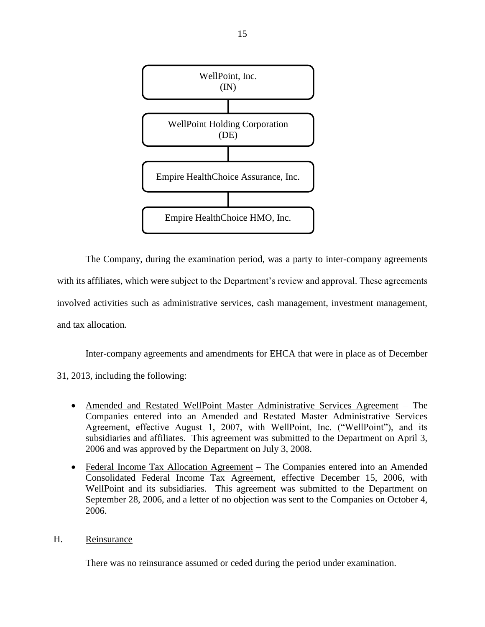<span id="page-16-0"></span>

 The Company, during the examination period, was a party to inter-company agreements with its affiliates, which were subject to the Department's review and approval. These agreements involved activities such as administrative services, cash management, investment management, and tax allocation.

Inter-company agreements and amendments for EHCA that were in place as of December

- 31, 2013, including the following:
	- Amended and Restated WellPoint Master Administrative Services Agreement The Companies entered into an Amended and Restated Master Administrative Services subsidiaries and affiliates. This agreement was submitted to the Department on April 3, Agreement, effective August 1, 2007, with WellPoint, Inc. ("WellPoint"), and its 2006 and was approved by the Department on July 3, 2008.
	- Federal Income Tax Allocation Agreement The Companies entered into an Amended Consolidated Federal Income Tax Agreement, effective December 15, 2006, with September 28, 2006, and a letter of no objection was sent to the Companies on October 4, WellPoint and its subsidiaries. This agreement was submitted to the Department on 2006.

#### H. Reinsurance

There was no reinsurance assumed or ceded during the period under examination.

15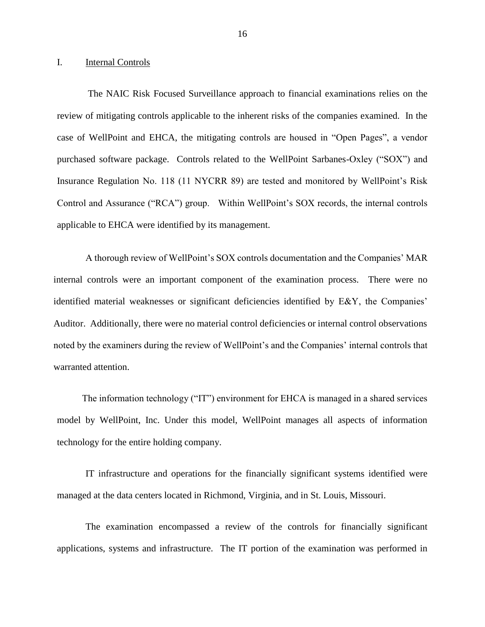#### <span id="page-17-0"></span>I. Internal Controls

 case of WellPoint and EHCA, the mitigating controls are housed in "Open Pages", a vendor purchased software package. Controls related to the WellPoint Sarbanes-Oxley ("SOX") and Insurance Regulation No. 118 (11 NYCRR 89) are tested and monitored by WellPoint's Risk Control and Assurance ("RCA") group. Within WellPoint's SOX records, the internal controls The NAIC Risk Focused Surveillance approach to financial examinations relies on the review of mitigating controls applicable to the inherent risks of the companies examined. In the applicable to EHCA were identified by its management.

 internal controls were an important component of the examination process. There were no identified material weaknesses or significant deficiencies identified by E&Y, the Companies' Auditor. Additionally, there were no material control deficiencies or internal control observations noted by the examiners during the review of WellPoint's and the Companies' internal controls that A thorough review of WellPoint's SOX controls documentation and the Companies' MAR warranted attention.

 technology for the entire holding company. The information technology ("IT") environment for EHCA is managed in a shared services model by WellPoint, Inc. Under this model, WellPoint manages all aspects of information

 IT infrastructure and operations for the financially significant systems identified were managed at the data centers located in Richmond, Virginia, and in St. Louis, Missouri.

 The examination encompassed a review of the controls for financially significant applications, systems and infrastructure. The IT portion of the examination was performed in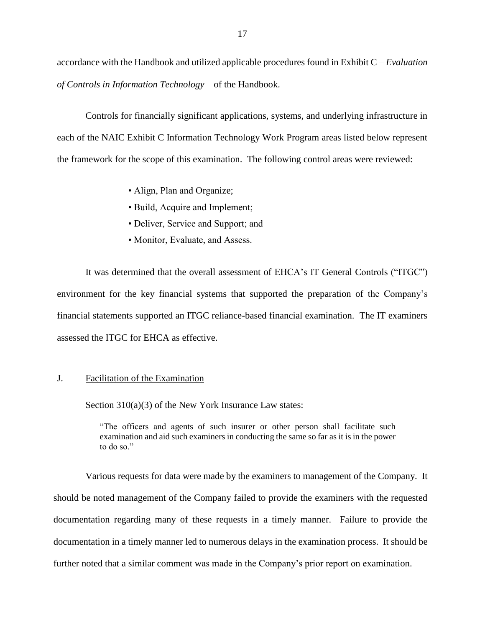<span id="page-18-0"></span> accordance with the Handbook and utilized applicable procedures found in Exhibit C – *Evaluation of Controls in Information Technology* – of the Handbook.

 Controls for financially significant applications, systems, and underlying infrastructure in each of the NAIC Exhibit C Information Technology Work Program areas listed below represent the framework for the scope of this examination. The following control areas were reviewed:

- Align, Plan and Organize;
- Build, Acquire and Implement;
- Deliver, Service and Support; and
- Monitor, Evaluate, and Assess.

 It was determined that the overall assessment of EHCA's IT General Controls ("ITGC") environment for the key financial systems that supported the preparation of the Company's financial statements supported an ITGC reliance-based financial examination. The IT examiners assessed the ITGC for EHCA as effective.

#### J. Facilitation of the Examination

Section 310(a)(3) of the New York Insurance Law states:

 "The officers and agents of such insurer or other person shall facilitate such examination and aid such examiners in conducting the same so far as it is in the power to do so."

 Various requests for data were made by the examiners to management of the Company. It documentation regarding many of these requests in a timely manner. Failure to provide the documentation in a timely manner led to numerous delays in the examination process. It should be should be noted management of the Company failed to provide the examiners with the requested further noted that a similar comment was made in the Company's prior report on examination.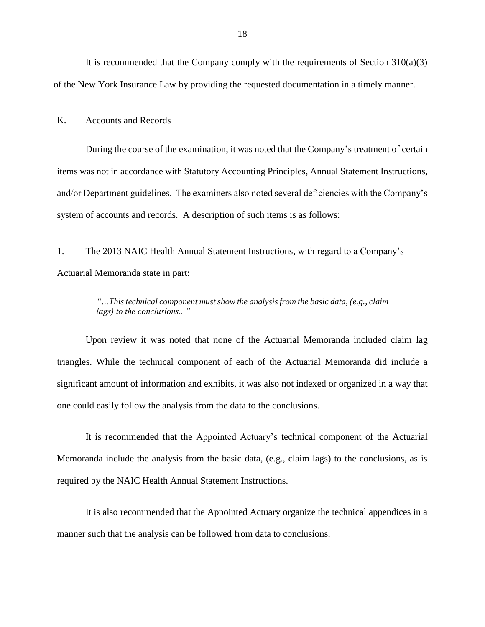<span id="page-19-0"></span> It is recommended that the Company comply with the requirements of Section 310(a)(3) of the New York Insurance Law by providing the requested documentation in a timely manner.

#### K. Accounts and Records

 During the course of the examination, it was noted that the Company's treatment of certain items was not in accordance with Statutory Accounting Principles, Annual Statement Instructions, and/or Department guidelines. The examiners also noted several deficiencies with the Company's system of accounts and records. A description of such items is as follows:

 $1<sup>2</sup>$  Actuarial Memoranda state in part: The 2013 NAIC Health Annual Statement Instructions, with regard to a Company's

#### *"…This technical component must show the analysis from the basic data, (e.g., claim lags) to the conclusions..."*

 Upon review it was noted that none of the Actuarial Memoranda included claim lag triangles. While the technical component of each of the Actuarial Memoranda did include a significant amount of information and exhibits, it was also not indexed or organized in a way that one could easily follow the analysis from the data to the conclusions.

 Memoranda include the analysis from the basic data, (e.g., claim lags) to the conclusions, as is It is recommended that the Appointed Actuary's technical component of the Actuarial required by the NAIC Health Annual Statement Instructions.

 It is also recommended that the Appointed Actuary organize the technical appendices in a manner such that the analysis can be followed from data to conclusions.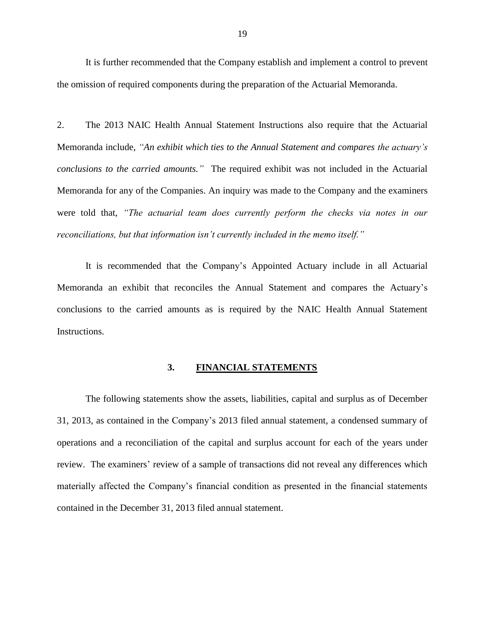<span id="page-20-0"></span>It is further recommended that the Company establish and implement a control to prevent the omission of required components during the preparation of the Actuarial Memoranda.

 $2.$  *conclusions to the carried amounts."* The required exhibit was not included in the Actuarial Memoranda for any of the Companies. An inquiry was made to the Company and the examiners 2. The 2013 NAIC Health Annual Statement Instructions also require that the Actuarial Memoranda include, *"An exhibit which ties to the Annual Statement and compares the actuary's*  were told that, *"The actuarial team does currently perform the checks via notes in our reconciliations, but that information isn't currently included in the memo itself."*

 It is recommended that the Company's Appointed Actuary include in all Actuarial conclusions to the carried amounts as is required by the NAIC Health Annual Statement Memoranda an exhibit that reconciles the Annual Statement and compares the Actuary's Instructions.

#### $3.$ **3. FINANCIAL STATEMENTS**

 The following statements show the assets, liabilities, capital and surplus as of December review. The examiners' review of a sample of transactions did not reveal any differences which 31, 2013, as contained in the Company's 2013 filed annual statement, a condensed summary of operations and a reconciliation of the capital and surplus account for each of the years under materially affected the Company's financial condition as presented in the financial statements contained in the December 31, 2013 filed annual statement.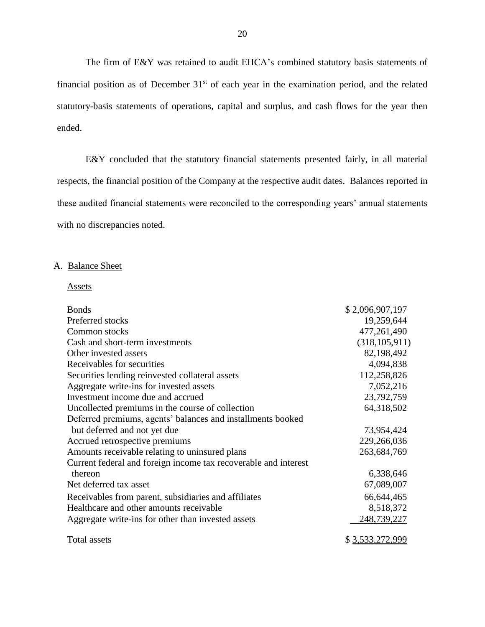The firm of E&Y was retained to audit EHCA's combined statutory basis statements of financial position as of December  $31<sup>st</sup>$  of each year in the examination period, and the related statutory-basis statements of operations, capital and surplus, and cash flows for the year then ended.

 E&Y concluded that the statutory financial statements presented fairly, in all material respects, the financial position of the Company at the respective audit dates. Balances reported in these audited financial statements were reconciled to the corresponding years' annual statements with no discrepancies noted.

#### A. Balance Sheet

Assets

| <b>Bonds</b>                                                    | \$2,096,907,197 |
|-----------------------------------------------------------------|-----------------|
| Preferred stocks                                                | 19,259,644      |
| Common stocks                                                   | 477,261,490     |
| Cash and short-term investments                                 | (318, 105, 911) |
| Other invested assets                                           | 82,198,492      |
| Receivables for securities                                      | 4,094,838       |
| Securities lending reinvested collateral assets                 | 112,258,826     |
| Aggregate write-ins for invested assets                         | 7,052,216       |
| Investment income due and accrued                               | 23,792,759      |
| Uncollected premiums in the course of collection                | 64,318,502      |
| Deferred premiums, agents' balances and installments booked     |                 |
| but deferred and not yet due                                    | 73,954,424      |
| Accrued retrospective premiums                                  | 229,266,036     |
| Amounts receivable relating to uninsured plans                  | 263,684,769     |
| Current federal and foreign income tax recoverable and interest |                 |
| thereon                                                         | 6,338,646       |
| Net deferred tax asset                                          | 67,089,007      |
| Receivables from parent, subsidiaries and affiliates            | 66,644,465      |
| Healthcare and other amounts receivable                         | 8,518,372       |
| Aggregate write-ins for other than invested assets              | 248,739,227     |
| Total assets                                                    | \$3,533,272,999 |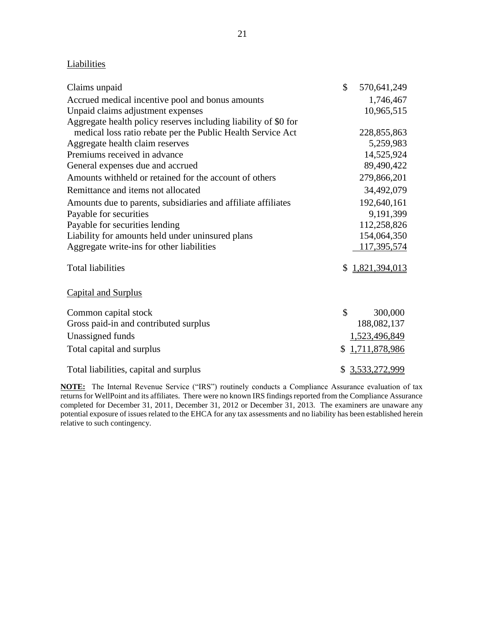#### **Liabilities**

| Claims unpaid                                                   | \$ | 570,641,249      |
|-----------------------------------------------------------------|----|------------------|
| Accrued medical incentive pool and bonus amounts                |    | 1,746,467        |
| Unpaid claims adjustment expenses                               |    | 10,965,515       |
| Aggregate health policy reserves including liability of \$0 for |    |                  |
| medical loss ratio rebate per the Public Health Service Act     |    | 228,855,863      |
| Aggregate health claim reserves                                 |    | 5,259,983        |
| Premiums received in advance                                    |    | 14,525,924       |
| General expenses due and accrued                                |    | 89,490,422       |
| Amounts withheld or retained for the account of others          |    | 279,866,201      |
| Remittance and items not allocated                              |    | 34,492,079       |
| Amounts due to parents, subsidiaries and affiliate affiliates   |    | 192,640,161      |
| Payable for securities                                          |    | 9,191,399        |
| Payable for securities lending                                  |    | 112,258,826      |
| Liability for amounts held under uninsured plans                |    | 154,064,350      |
| Aggregate write-ins for other liabilities                       |    | 117,395,574      |
| <b>Total liabilities</b>                                        | S. | 1,821,394,013    |
| <b>Capital and Surplus</b>                                      |    |                  |
| Common capital stock                                            | \$ | 300,000          |
| Gross paid-in and contributed surplus                           |    | 188,082,137      |
| Unassigned funds                                                |    | 1,523,496,849    |
| Total capital and surplus                                       | \$ | 1,711,878,986    |
| Total liabilities, capital and surplus                          |    | \$ 3,533,272,999 |

 **NOTE:** The Internal Revenue Service ("IRS") routinely conducts a Compliance Assurance evaluation of tax returns for WellPoint and its affiliates. There were no known IRS findings reported from the Compliance Assurance completed for December 31, 2011, December 31, 2012 or December 31, 2013. The examiners are unaware any potential exposure of issues related to the EHCA for any tax assessments and no liability has been established herein relative to such contingency.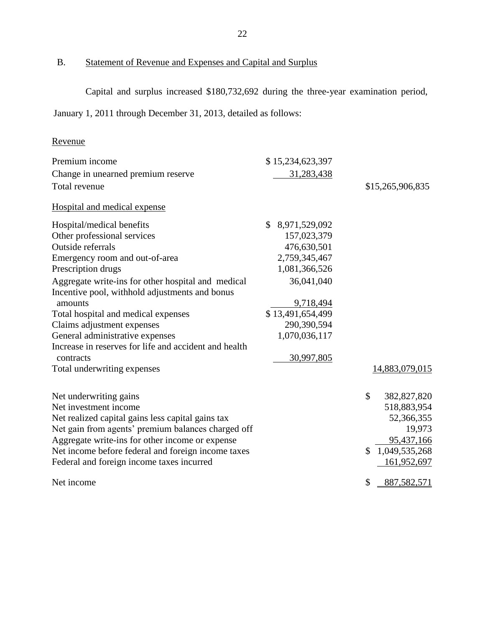<span id="page-23-0"></span>

#### B. Statement of Revenue and Expenses and Capital and Surplus

Capital and surplus increased \$180,732,692 during the three-year examination period,

January 1, 2011 through December 31, 2013, detailed as follows:

## Revenue

| Premium income                                                                                       | \$15,234,623,397    |                     |
|------------------------------------------------------------------------------------------------------|---------------------|---------------------|
| Change in unearned premium reserve                                                                   | 31,283,438          |                     |
| Total revenue                                                                                        |                     | \$15,265,906,835    |
| Hospital and medical expense                                                                         |                     |                     |
| Hospital/medical benefits                                                                            | 8,971,529,092<br>\$ |                     |
| Other professional services                                                                          | 157,023,379         |                     |
| Outside referrals                                                                                    | 476,630,501         |                     |
| Emergency room and out-of-area                                                                       | 2,759,345,467       |                     |
| Prescription drugs                                                                                   | 1,081,366,526       |                     |
| Aggregate write-ins for other hospital and medical<br>Incentive pool, withhold adjustments and bonus | 36,041,040          |                     |
| amounts                                                                                              | 9,718,494           |                     |
| Total hospital and medical expenses                                                                  | \$13,491,654,499    |                     |
| Claims adjustment expenses                                                                           | 290,390,594         |                     |
| General administrative expenses                                                                      | 1,070,036,117       |                     |
| Increase in reserves for life and accident and health                                                |                     |                     |
| contracts                                                                                            | 30,997,805          |                     |
| Total underwriting expenses                                                                          |                     | 14,883,079,015      |
| Net underwriting gains                                                                               |                     | \$<br>382,827,820   |
| Net investment income                                                                                |                     | 518,883,954         |
| Net realized capital gains less capital gains tax                                                    |                     | 52,366,355          |
| Net gain from agents' premium balances charged off                                                   |                     | 19,973              |
| Aggregate write-ins for other income or expense                                                      |                     | 95,437,166          |
| Net income before federal and foreign income taxes                                                   |                     | 1,049,535,268<br>\$ |
| Federal and foreign income taxes incurred                                                            |                     | 161,952,697         |
| Net income                                                                                           |                     | \$<br>887,582,571   |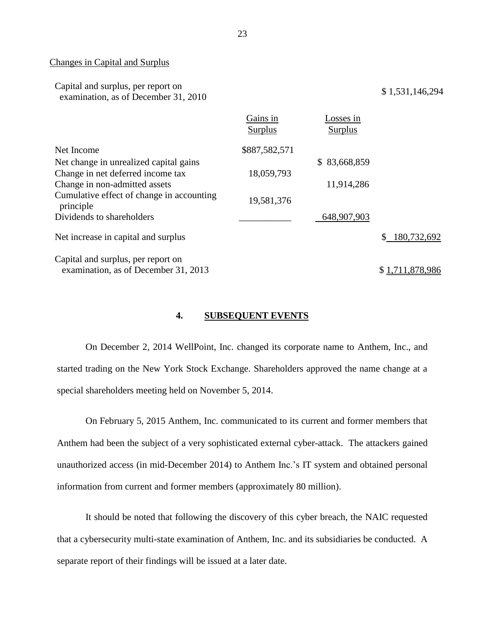#### Changes in Capital and Surplus

| Capital and surplus, per report on   | \$1,531,146,294 |
|--------------------------------------|-----------------|
| examination, as of December 31, 2010 |                 |

|                                                        | Gains in<br>Surplus | Losses in<br>Surplus |                   |
|--------------------------------------------------------|---------------------|----------------------|-------------------|
| Net Income                                             | \$887,582,571       |                      |                   |
| Net change in unrealized capital gains                 |                     | \$83,668,859         |                   |
| Change in net deferred income tax                      | 18,059,793          |                      |                   |
| Change in non-admitted assets                          |                     | 11,914,286           |                   |
| Cumulative effect of change in accounting<br>principle | 19,581,376          |                      |                   |
| Dividends to shareholders                              |                     | 648,907,903          |                   |
| Net increase in capital and surplus                    |                     |                      | 180,732,692<br>\$ |
| Capital and surplus, per report on                     |                     |                      |                   |
| examination, as of December 31, 2013                   |                     |                      | \$1,711,878,986   |

#### **4. SUBSEQUENT EVENTS**

 started trading on the New York Stock Exchange. Shareholders approved the name change at a On December 2, 2014 WellPoint, Inc. changed its corporate name to [Anthem, Inc.,](http://cts.businesswire.com/ct/CT?id=smartlink&url=http%3A%2F%2Fwww.antheminc.com%2F&esheet=50995323&newsitemid=20141203005152&lan=en-US&anchor=Anthem%2C+Inc.%2C&index=1&md5=766c119a36e7ae689cd4262cb118c052) and special shareholders meeting held on November 5, 2014.

 On February 5, 2015 Anthem, Inc. communicated to its current and former members that Anthem had been the subject of a very sophisticated external cyber-attack. The attackers gained unauthorized access (in mid-December 2014) to Anthem Inc.'s IT system and obtained personal information from current and former members (approximately 80 million). information from current and former members (approximately 80 million). It should be noted that following the discovery of this cyber breach, the NAIC requested

that a cybersecurity multi-state examination of Anthem, Inc. and its subsidiaries be conducted. A separate report of their findings will be issued at a later date.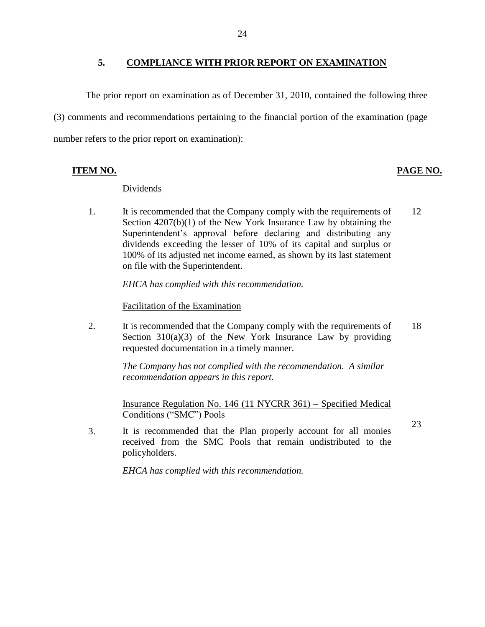#### **5. COMPLIANCE WITH PRIOR REPORT ON EXAMINATION**

<span id="page-25-0"></span> (3) comments and recommendations pertaining to the financial portion of the examination (page The prior report on examination as of December 31, 2010, contained the following three number refers to the prior report on examination):

#### Dividends

1. It is recommended that the Company comply with the requirements of 12 Section 4207(b)(1) of the New York Insurance Law by obtaining the Superintendent's approval before declaring and distributing any dividends exceeding the lesser of 10% of its capital and surplus or 100% of its adjusted net income earned, as shown by its last statement on file with the Superintendent.

*EHCA has complied with this recommendation.* 

Facilitation of the Examination

2. It is recommended that the Company comply with the requirements of 18 Section  $310(a)(3)$  of the New York Insurance Law by providing requested documentation in a timely manner.

> *The Company has not complied with the recommendation. A similar recommendation appears in this report.*

Insurance Regulation No. 146 (11 NYCRR 361) – Specified Medical Conditions ("SMC") Pools

 3. It is recommended that the Plan properly account for all monies received from the SMC Pools that remain undistributed to the policyholders.

*EHCA has complied with this recommendation.* 

#### **ITEM NO. PAGE NO.**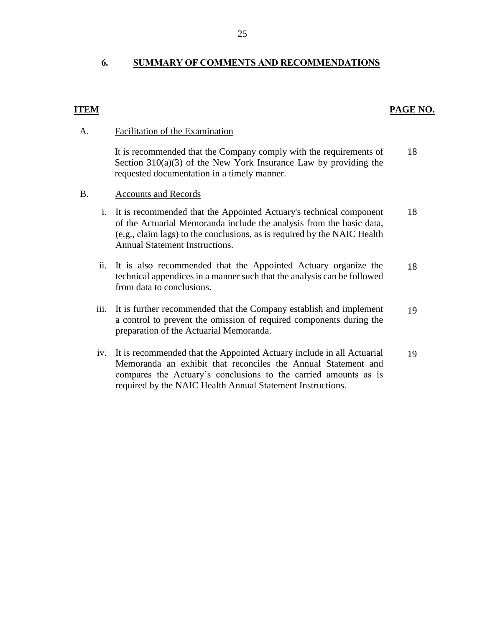#### <span id="page-26-0"></span> **6. SUMMARY OF COMMENTS AND RECOMMENDATIONS**

#### **ITEM**

#### **PAGE NO.**

#### A. Facilitation of the Examination

 It is recommended that the Company comply with the requirements of Section 310(a)(3) of the New York Insurance Law by providing the requested documentation in a timely manner. 18

#### B. Accounts and Records

- (e.g., claim lags) to the conclusions, as is required by the NAIC Health i. It is recommended that the Appointed Actuary's technical component of the Actuarial Memoranda include the analysis from the basic data, Annual Statement Instructions. 18
- ii. It is also recommended that the Appointed Actuary organize the technical appendices in a manner such that the analysis can be followed from data to conclusions. 18
- iii. It is further recommended that the Company establish and implement a control to prevent the omission of required components during the preparation of the Actuarial Memoranda. 19
- iv. It is recommended that the Appointed Actuary include in all Actuarial Memoranda an exhibit that reconciles the Annual Statement and compares the Actuary's conclusions to the carried amounts as is required by the NAIC Health Annual Statement Instructions. 19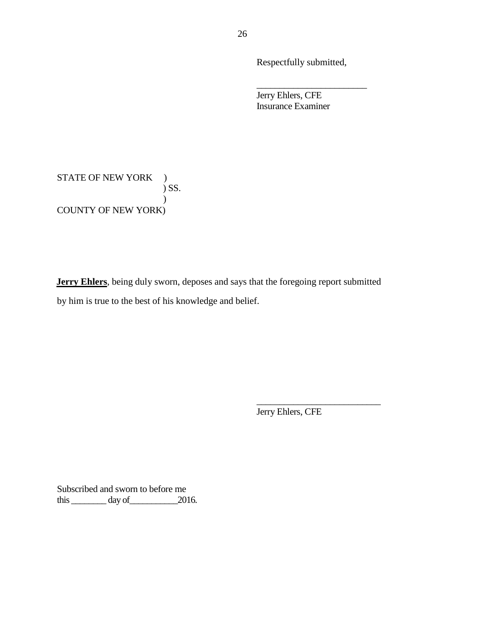Respectfully submitted,

\_\_\_\_\_\_\_\_\_\_\_\_\_\_\_\_\_\_\_\_\_\_\_\_

 Jerry Ehlers, CFE Insurance Examiner

STATE OF NEW YORK ) COUNTY OF NEW YORK)  $\sum$  SS.  $\mathcal{L}$ 

 **Jerry Ehlers**, being duly sworn, deposes and says that the foregoing report submitted by him is true to the best of his knowledge and belief.

Jerry Ehlers, CFE

\_\_\_\_\_\_\_\_\_\_\_\_\_\_\_\_\_\_\_\_\_\_\_\_\_\_\_

 Subscribed and sworn to before me this  $\_\_\_\_\_\_\$  day of  $\_\_\_\_\_2$  2016.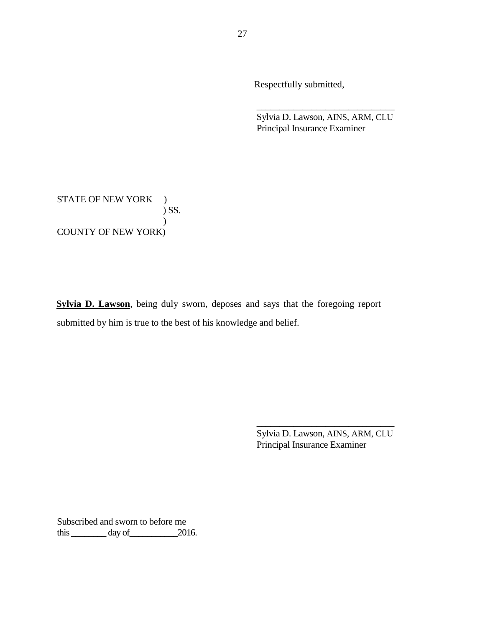Respectfully submitted,

 Sylvia D. Lawson, AINS, ARM, CLU Principal Insurance Examiner

\_\_\_\_\_\_\_\_\_\_\_\_\_\_\_\_\_\_\_\_\_\_\_\_\_\_\_\_\_\_

STATE OF NEW YORK ) COUNTY OF NEW YORK) ) SS.  $\lambda$ 

 **Sylvia D. Lawson**, being duly sworn, deposes and says that the foregoing report submitted by him is true to the best of his knowledge and belief. submitted by him is true to the best of his knowledge and belief.<br>  $\frac{1}{\text{Sylvia D.} \text{ Lawson, AINS, ARM, CLU}}$ 

Sylvia D. Lawson, AINS, ARM, CLU Principal Insurance Examiner

\_\_\_\_\_\_\_\_\_\_\_\_\_\_\_\_\_\_\_\_\_\_\_\_\_\_\_\_\_\_

 Subscribed and sworn to before me this  $\_\_\_\_\_\_\$  day of  $\_\_\_\_\_2$  2016.